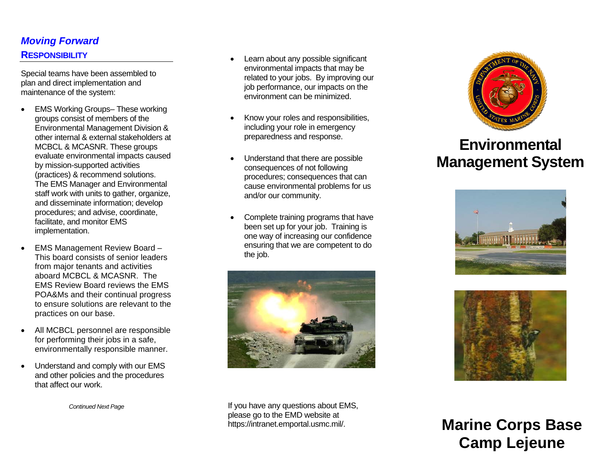# *Moving Forward*  **RESPONSIBILITY**

Special teams have been assembled to plan and direct implementation and maintenance of the system:

- **EMS Working Groups– These working** groups consist of members of the Environmental Management Division & other internal & external stakeholders at MCBCL & MCASNR. These groups evaluate environmental impacts caused by mission-supported activities (practices) & recommend solutions. The EMS Manager and Environmental staff work with units to gather, organize, and disseminate information; develop procedures; and advise, coordinate, facilitate, and monitor EMS implementation.
- EMS Management Review Board This board consists of senior leaders from major tenants and activities aboard MCBCL & MCASNR. The EMS Review Board reviews the EMS POA&Ms and their continual progress to ensure solutions are relevant to the practices on our base.
- All MCBCL personnel are responsible for performing their jobs in a safe, environmentally responsible manner.
- Understand and comply with our EMS and other policies and the procedures that affect our work.

*Continued Next Page* 

- Learn about any possible significant environmental impacts that may be related to your jobs. By improving our job performance, our impacts on the environment can be minimized.
- Know your roles and responsibilities, including your role in emergency preparedness and response.
- Understand that there are possible consequences of not following procedures; consequences that can cause environmental problems for us and/or our community.
- Complete training programs that have been set up for your job. Training is one way of increasing our confidence ensuring that we are competent to do the job.



If you have any questions about EMS, please go to the EMD website at https://intranet.emportal.usmc.mil/.



# **Environmental Management System**





**Marine Corps Base Camp Lejeune**